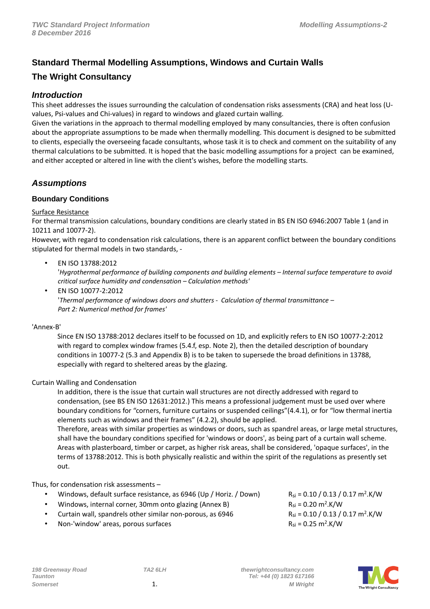# **Standard Thermal Modelling Assumptions, Windows and Curtain Walls**

# **The Wright Consultancy**

## **Introduction**

This sheet addresses the issues surrounding the calculation of condensation risks assessments (CRA) and heat loss (Uvalues, Psi-values and Chi-values) in regard to windows and glazed curtain walling.

Given the variations in the approach to thermal modelling employed by many consultancies, there is often confusion about the appropriate assumptions to be made when thermally modelling. This document is designed to be submitted to clients, especially the overseeing facade consultants, whose task it is to check and comment on the suitability of any thermal calculations to be submitted. It is hoped that the basic modelling assumptions for a project can be examined, and either accepted or altered in line with the client's wishes, before the modelling starts.

## **Assumptions**

## **Boundary Conditions**

#### Surface Resistance

For thermal transmission calculations, boundary conditions are clearly stated in BS EN ISO 6946:2007 Table 1 (and in 10211 and 10077-2).

However, with regard to condensation risk calculations, there is an apparent conflict between the boundary conditions stipulated for thermal models in two standards, -

## • EN ISO 13788:2012

'*Hygrothermal performance of building components and building elements – Internal surface temperature to avoid critical surface humidity and condensation – Calculation methods'*

• EN ISO 10077-2:2012 '*Thermal performance of windows doors and shutters - Calculation of thermal transmittance – Part 2: Numerical method for frames'*

'Annex-B'

Since EN ISO 13788:2012 declares itself to be focussed on 1D, and explicitly refers to EN ISO 10077-2:2012 with regard to complex window frames (5.4.f, esp. Note 2), then the detailed description of boundary conditions in 10077-2 (5.3 and Appendix B) is to be taken to supersede the broad definitions in 13788, especially with regard to sheltered areas by the glazing.

## Curtain Walling and Condensation

In addition, there is the issue that curtain wall structures are not directly addressed with regard to condensation, (see BS EN ISO 12631:2012.) This means a professional judgement must be used over where boundary conditions for "corners, furniture curtains or suspended ceilings"(4.4.1), or for "low thermal inertia elements such as windows and their frames" (4.2.2), should be applied.

Therefore, areas with similar properties as windows or doors, such as spandrel areas, or large metal structures, shall have the boundary conditions specified for 'windows or doors', as being part of a curtain wall scheme. Areas with plasterboard, timber or carpet, as higher risk areas, shall be considered, 'opaque surfaces', in the terms of 13788:2012. This is both physically realistic and within the spirit of the regulations as presently set out.

## Thus, for condensation risk assessments –

- Windows, default surface resistance, as 6946 (Up / Horiz. / Down)
- Windows, internal corner, 30mm onto glazing (Annex B)
- Curtain wall, spandrels other similar non-porous, as 6946
- Non-'window' areas, porous surfaces

 $R_{si} = 0.10 / 0.13 / 0.17 m<sup>2</sup>$ .K/W  $R_{si} = 0.20 \text{ m}^2$ .K/W  $R_{si} = 0.10 / 0.13 / 0.17 m<sup>2</sup>$ .K/W  $R_{si} = 0.25 \text{ m}^2$ .K/W

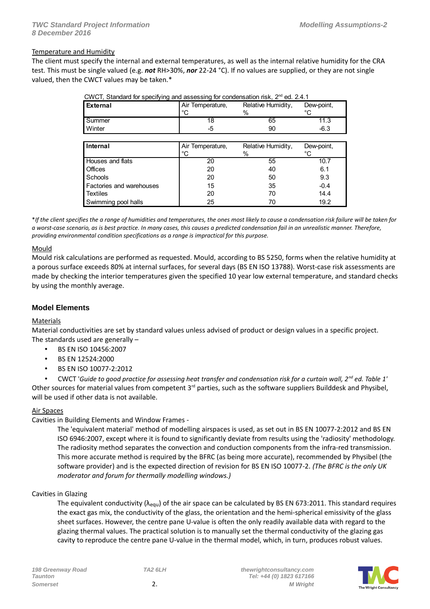#### Temperature and Humidity

The client must specify the internal and external temperatures, as well as the internal relative humidity for the CRA test. This must be single valued (e.g. *not* RH>30%, *nor* 22-24 °C). If no values are supplied, or they are not single valued, then the CWCT values may be taken.\*

| المحمد مقمرا ال                                                                  | $A: = T - 1$     | Deletting Linearditry | D <b>. .</b> |  |
|----------------------------------------------------------------------------------|------------------|-----------------------|--------------|--|
|                                                                                  |                  |                       |              |  |
| Winter                                                                           | -5               | 90                    | -6.3         |  |
| l Summer                                                                         | 18               | 65                    | 11.3         |  |
|                                                                                  | °C               | $\%$                  | ∘∩           |  |
| External                                                                         | Air Temperature, | Relative Humidity,    | Dew-point,   |  |
| CWCT, Startuard for Specifying and assessing for condensation fisk, Z Fu. Z.4. I |                  |                       |              |  |

| CWCT, Standard for specifying and assessing for condensation risk, 2 <sup>nd</sup> ed. 2.4.1 |  |  |
|----------------------------------------------------------------------------------------------|--|--|
|                                                                                              |  |  |

| Internal                 | Air Temperature,<br>°C | Relative Humidity,<br>$\%$ | Dew-point,<br>°C. |
|--------------------------|------------------------|----------------------------|-------------------|
| Houses and flats         | 20                     | 55                         | 10.7              |
| Offices                  | 20                     | 40                         | 6.1               |
| Schools                  | 20                     | 50                         | 9.3               |
| Factories and warehouses | 15                     | 35                         | $-0.4$            |
| <b>Textiles</b>          | 20                     | 70                         | 14.4              |
| Swimming pool halls      | 25                     | 70                         | 19.2              |

\**If the client specifies the a range of humidities and temperatures, the ones most likely to cause a condensation risk failure will be taken for a worst-case scenario, as is best practice. In many cases, this causes a predicted condensation fail in an unrealistic manner. Therefore, providing environmental condition specifications as a range is impractical for this purpose.*

#### **Mould**

Mould risk calculations are performed as requested. Mould, according to BS 5250, forms when the relative humidity at a porous surface exceeds 80% at internal surfaces, for several days (BS EN ISO 13788). Worst-case risk assessments are made by checking the interior temperatures given the specified 10 year low external temperature, and standard checks by using the monthly average.

## **Model Elements**

## Materials

Material conductivities are set by standard values unless advised of product or design values in a specific project. The standards used are generally –

- BS EN ISO 10456:2007
- BS EN 12524:2000
- BS EN ISO 10077-2:2012

• CWCT '*Guide to good practice for assessing heat transfer and condensation risk for a curtain wall, 2nd ed. Table 1'* Other sources for material values from competent  $3^{rd}$  parties, such as the software suppliers Builddesk and Physibel, will be used if other data is not available.

#### Air Spaces

Cavities in Building Elements and Window Frames -

The 'equivalent material' method of modelling airspaces is used, as set out in BS EN 10077-2:2012 and BS EN ISO 6946:2007, except where it is found to significantly deviate from results using the 'radiosity' methodology. The radiosity method separates the convection and conduction components from the infra-red transmission. This more accurate method is required by the BFRC (as being more accurate), recommended by Physibel (the software provider) and is the expected direction of revision for BS EN ISO 10077-2. *(The BFRC is the only UK moderator and forum for thermally modelling windows.)*

#### Cavities in Glazing

The equivalent conductivity ( $\lambda_{equ}$ ) of the air space can be calculated by BS EN 673:2011. This standard requires the exact gas mix, the conductivity of the glass, the orientation and the hemi-spherical emissivity of the glass sheet surfaces. However, the centre pane U-value is often the only readily available data with regard to the glazing thermal values. The practical solution is to manually set the thermal conductivity of the glazing gas cavity to reproduce the centre pane U-value in the thermal model, which, in turn, produces robust values.